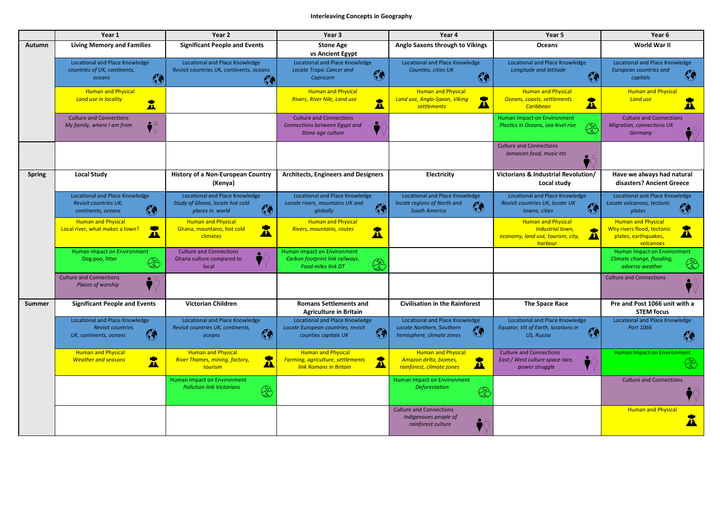## **Interleaving Concepts in Geography**

|               | Year 1                                                                                               | Year 2                                                                                                    | Year 3                                                                                                            | Year 4                                                                                                        | Year 5                                                                                                       | Year 6                                                                                                       |
|---------------|------------------------------------------------------------------------------------------------------|-----------------------------------------------------------------------------------------------------------|-------------------------------------------------------------------------------------------------------------------|---------------------------------------------------------------------------------------------------------------|--------------------------------------------------------------------------------------------------------------|--------------------------------------------------------------------------------------------------------------|
| <b>Autumn</b> | <b>Living Memory and Families</b>                                                                    | <b>Significant People and Events</b>                                                                      | <b>Stone Age</b><br>vs Ancient Egypt                                                                              | Anglo Saxons through to Vikings                                                                               | <b>Oceans</b>                                                                                                | World War II                                                                                                 |
|               | <b>Locational and Place Knowledge</b><br>countries of UK, continents,<br>$\bigcirc$<br><b>oceans</b> | <b>Locational and Place Knowledge</b><br>Revisit countries UK, continents, oceans<br>$\mathbb{G}$         | <b>Locational and Place Knowledge</b><br><b>Locate Tropic Cancer and</b><br>$\odot$<br>Capricorn                  | <b>Locational and Place Knowledge</b><br>Counties, cities UK<br>$\mathcal{C}$                                 | <b>Locational and Place Knowledge</b><br>Longitude and latitude<br>$\mathcal{C}$                             | <b>Locational and Place Knowledge</b><br><b>European countries and</b><br>$\bigcirc$<br>capitals             |
|               | <b>Human and Physical</b><br>Land use in locality<br>$\bullet$<br>Ā                                  |                                                                                                           | <b>Human and Physical</b><br><b>Rivers, River Nile, Land use</b><br>$\bullet$<br>Ж                                | <b>Human and Physical</b><br>Land use, Anglo-Saxon, Viking<br>$\bullet$<br>Ж<br><b>settlements</b>            | <b>Human and Physical</b><br>Oceans, coasts, settlements<br>Ж<br><b>Caribbean</b>                            | <b>Human and Physical</b><br><b>Land use</b>                                                                 |
|               | <b>Culture and Connections</b><br>My family, where I am from                                         |                                                                                                           | <b>Culture and Connections</b><br>Connections between Egypt and<br>Stone age culture                              |                                                                                                               | <b>Human Impact on Environment</b><br>Plastics in Oceans, sea level rise                                     | <b>Culture and Connections</b><br><b>Migration, connections UK</b><br>Germany                                |
|               |                                                                                                      |                                                                                                           |                                                                                                                   |                                                                                                               | <b>Culture and Connections</b><br>Jamaican food, music etc                                                   |                                                                                                              |
| <b>Spring</b> | <b>Local Study</b>                                                                                   | <b>History of a Non-European Country</b><br>(Kenya)                                                       | <b>Architects, Engineers and Designers</b>                                                                        | <b>Electricity</b>                                                                                            | Victorians & Industrial Revolution/<br>Local study                                                           | Have we always had natural<br>disasters? Ancient Greece                                                      |
|               | <b>Locational and Place Knowledge</b><br>Revisit countries UK,<br>ඹ<br>continents, oceans            | <b>Locational and Place Knowledge</b><br>Study of Ghana, locate hot cold<br>$\bigcirc$<br>places in world | <b>Locational and Place Knowledge</b><br>Locate rivers, mountains UK and<br>$\mathcal{C}$<br>globally             | <b>Locational and Place Knowledge</b><br>locate regions of North and<br>$\mathbb{G}$<br><b>South America</b>  | <b>Locational and Place Knowledge</b><br>Revisit countries UK, locate UK<br>$\mathcal{C}$<br>towns, cities   | <b>Locational and Place Knowledge</b><br>Locate volcanoes, tectonic<br>$\mathbb{G}$<br>plates                |
|               | <b>Human and Physical</b><br>$\bullet$<br>Local river, what makes a town?<br>A                       | <b>Human and Physical</b><br>$\bullet$<br>Ghana, mountains, hot cold<br>АХ<br>climates                    | <b>Human and Physical</b><br><b>Rivers, mountains, routes</b><br>$\bullet$<br>Æ                                   |                                                                                                               | <b>Human and Physical</b><br>Industrial town,<br>economy, land use, tourism, city,<br>Ж<br>harbour           | <b>Human and Physical</b><br>Why rivers flood, tectonic<br>$\mathbf{A}$<br>plates, earthquakes,<br>volcanoes |
|               | Human Impact on Environment<br>Dog poo, litter<br><b>R</b>                                           | <b>Culture and Connections</b><br>Ghana culture compared to<br>local                                      | <b>Human Impact on Environment</b><br>Carbon footprint link railways.<br>Æ<br>Food miles link DT                  |                                                                                                               |                                                                                                              | Human Impact on Environment<br>Climate change, flooding,<br>소<br>adverse weather                             |
|               | <b>Culture and Connections</b><br>Places of worship                                                  |                                                                                                           |                                                                                                                   |                                                                                                               |                                                                                                              | <b>Culture and Connections</b>                                                                               |
| <b>Summer</b> | <b>Significant People and Events</b>                                                                 | <b>Victorian Children</b>                                                                                 | <b>Romans Settlements and</b><br><b>Agriculture in Britain</b>                                                    | <b>Civilisation in the Rainforest</b>                                                                         | The Space Race                                                                                               | Pre and Post 1066 unit with a<br><b>STEM focus</b>                                                           |
|               | Locational and Place Knowledge<br><b>Revisit countries</b><br>ඹ<br>UK, continents, oceans            | <b>Locational and Place Knowledge</b><br>Revisit countries UK, continents,<br>G<br>oceans                 | <b>Locational and Place Knowledge</b><br>Locate European countries, revisit<br>6<br>counties capitals UK          | <b>Locational and Place Knowledge</b><br>Locate Northern, Southern<br>$\bigcirc$<br>hemisphere, climate zones | <b>Locational and Place Knowledge</b><br>Equator, tilt of Earth, locations in<br>$\mathcal{C}$<br>US, Russia | <b>Locational and Place Knowledge</b><br>Port 1066<br>(4                                                     |
|               | <b>Human and Physical</b><br>$\bullet$<br><b>Weather and seasons</b><br>$\boldsymbol{A}$             | <b>Human and Physical</b><br>œ<br><b>River Thames, mining, factory,</b><br>Ж<br>tourism                   | <b>Human and Physical</b><br>$\bullet$<br>Farming, agriculture, settlements<br>Ж<br><b>link Romans in Britain</b> | <b>Human and Physical</b><br>Amazon delta, biomes,<br>$\bullet$<br><u>ДА</u><br>rainforest, climate zones     | <b>Culture and Connections</b><br>East / West culture space race,<br>power struggle                          | Human Impact on Environment                                                                                  |
|               |                                                                                                      | Human Impact on Environment<br><b>Pollution link Victorians</b><br>줐                                      |                                                                                                                   | <b>Human Impact on Environment</b><br><b>Deforestation</b>                                                    |                                                                                                              | <b>Culture and Connections</b>                                                                               |
|               |                                                                                                      |                                                                                                           |                                                                                                                   | <b>Culture and Connections</b><br>indigenoues people of<br>rainforest culture                                 |                                                                                                              | <b>Human and Physical</b>                                                                                    |